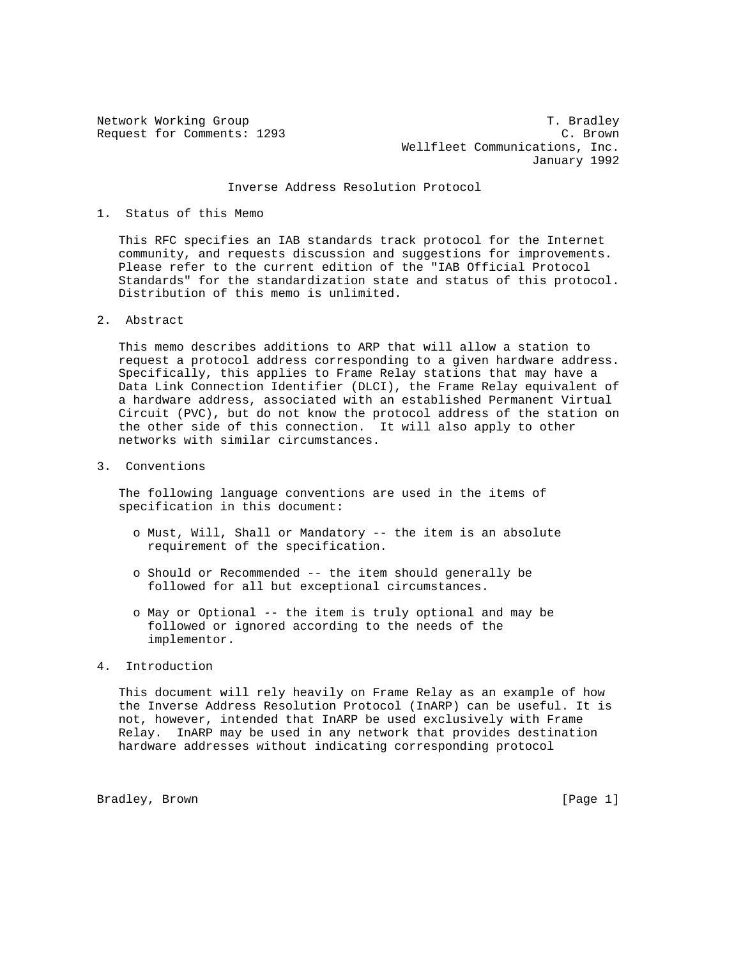Network Working Group T. Bradley Request for Comments: 1293 C. Brown Wellfleet Communications, Inc. January 1992

## Inverse Address Resolution Protocol

## 1. Status of this Memo

 This RFC specifies an IAB standards track protocol for the Internet community, and requests discussion and suggestions for improvements. Please refer to the current edition of the "IAB Official Protocol Standards" for the standardization state and status of this protocol. Distribution of this memo is unlimited.

2. Abstract

 This memo describes additions to ARP that will allow a station to request a protocol address corresponding to a given hardware address. Specifically, this applies to Frame Relay stations that may have a Data Link Connection Identifier (DLCI), the Frame Relay equivalent of a hardware address, associated with an established Permanent Virtual Circuit (PVC), but do not know the protocol address of the station on the other side of this connection. It will also apply to other networks with similar circumstances.

3. Conventions

 The following language conventions are used in the items of specification in this document:

- o Must, Will, Shall or Mandatory -- the item is an absolute requirement of the specification.
- o Should or Recommended -- the item should generally be followed for all but exceptional circumstances.
- o May or Optional -- the item is truly optional and may be followed or ignored according to the needs of the implementor.
- 4. Introduction

 This document will rely heavily on Frame Relay as an example of how the Inverse Address Resolution Protocol (InARP) can be useful. It is not, however, intended that InARP be used exclusively with Frame Relay. InARP may be used in any network that provides destination hardware addresses without indicating corresponding protocol

Bradley, Brown [Page 1]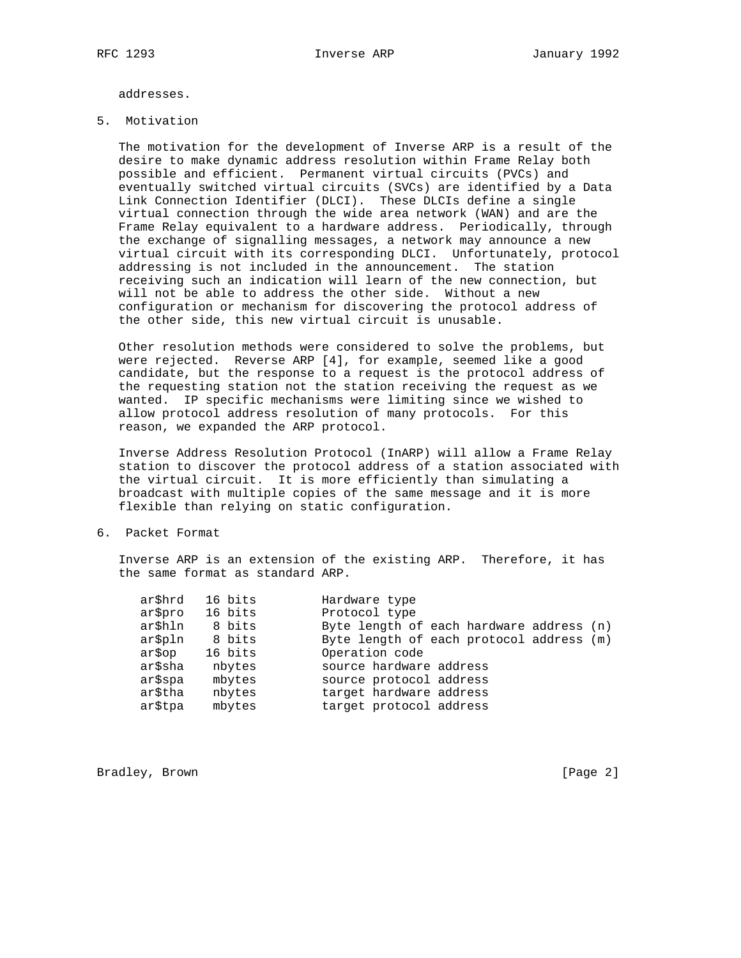addresses.

5. Motivation

 The motivation for the development of Inverse ARP is a result of the desire to make dynamic address resolution within Frame Relay both possible and efficient. Permanent virtual circuits (PVCs) and eventually switched virtual circuits (SVCs) are identified by a Data Link Connection Identifier (DLCI). These DLCIs define a single virtual connection through the wide area network (WAN) and are the Frame Relay equivalent to a hardware address. Periodically, through the exchange of signalling messages, a network may announce a new virtual circuit with its corresponding DLCI. Unfortunately, protocol addressing is not included in the announcement. The station receiving such an indication will learn of the new connection, but will not be able to address the other side. Without a new configuration or mechanism for discovering the protocol address of the other side, this new virtual circuit is unusable.

 Other resolution methods were considered to solve the problems, but were rejected. Reverse ARP [4], for example, seemed like a good candidate, but the response to a request is the protocol address of the requesting station not the station receiving the request as we wanted. IP specific mechanisms were limiting since we wished to allow protocol address resolution of many protocols. For this reason, we expanded the ARP protocol.

 Inverse Address Resolution Protocol (InARP) will allow a Frame Relay station to discover the protocol address of a station associated with the virtual circuit. It is more efficiently than simulating a broadcast with multiple copies of the same message and it is more flexible than relying on static configuration.

6. Packet Format

 Inverse ARP is an extension of the existing ARP. Therefore, it has the same format as standard ARP.

| ar\$hrd | 16 bits | Hardware type                            |
|---------|---------|------------------------------------------|
| ar\$pro | 16 bits | Protocol type                            |
| ar\$hln | 8 bits  | Byte length of each hardware address (n) |
| ar\$pln | 8 bits  | Byte length of each protocol address (m) |
| ar\$op  | 16 bits | Operation code                           |
| ar\$sha | nbytes  | source hardware address                  |
| ar\$spa | mbytes  | source protocol address                  |
| ar\$tha | nbytes  | target hardware address                  |
| ar\$tpa | mbytes  | target protocol address                  |
|         |         |                                          |

Bradley, Brown [Page 2]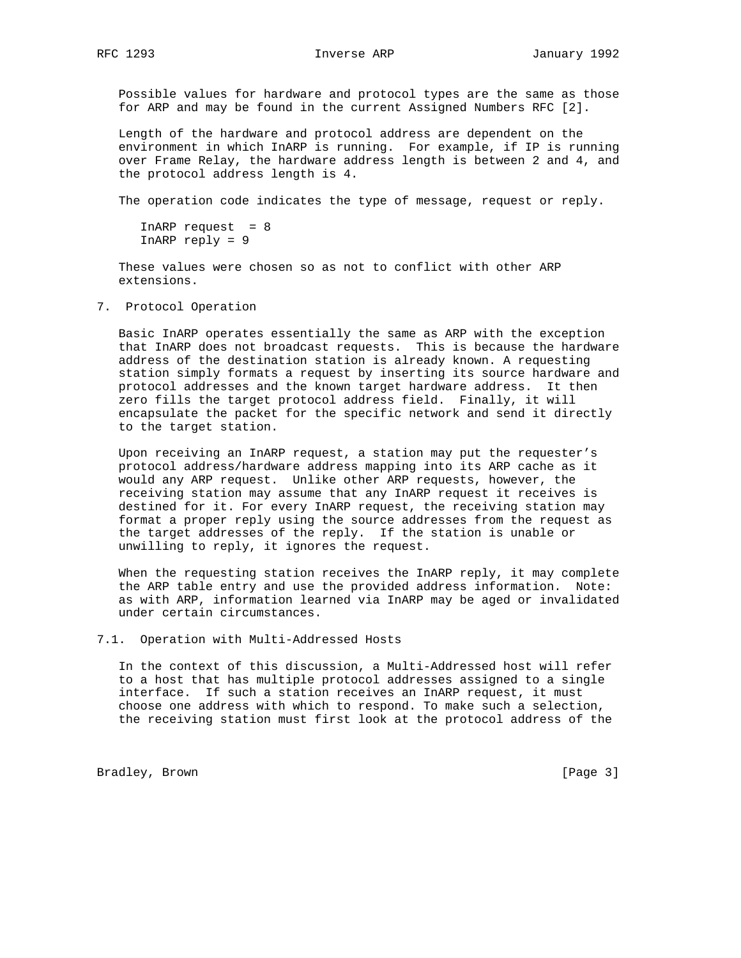Possible values for hardware and protocol types are the same as those for ARP and may be found in the current Assigned Numbers RFC [2].

 Length of the hardware and protocol address are dependent on the environment in which InARP is running. For example, if IP is running over Frame Relay, the hardware address length is between 2 and 4, and the protocol address length is 4.

The operation code indicates the type of message, request or reply.

```
InARP request = 8 InARP reply = 9
```
 These values were chosen so as not to conflict with other ARP extensions.

7. Protocol Operation

 Basic InARP operates essentially the same as ARP with the exception that InARP does not broadcast requests. This is because the hardware address of the destination station is already known. A requesting station simply formats a request by inserting its source hardware and protocol addresses and the known target hardware address. It then zero fills the target protocol address field. Finally, it will encapsulate the packet for the specific network and send it directly to the target station.

 Upon receiving an InARP request, a station may put the requester's protocol address/hardware address mapping into its ARP cache as it would any ARP request. Unlike other ARP requests, however, the receiving station may assume that any InARP request it receives is destined for it. For every InARP request, the receiving station may format a proper reply using the source addresses from the request as the target addresses of the reply. If the station is unable or unwilling to reply, it ignores the request.

 When the requesting station receives the InARP reply, it may complete the ARP table entry and use the provided address information. Note: as with ARP, information learned via InARP may be aged or invalidated under certain circumstances.

7.1. Operation with Multi-Addressed Hosts

 In the context of this discussion, a Multi-Addressed host will refer to a host that has multiple protocol addresses assigned to a single interface. If such a station receives an InARP request, it must choose one address with which to respond. To make such a selection, the receiving station must first look at the protocol address of the

Bradley, Brown [Page 3]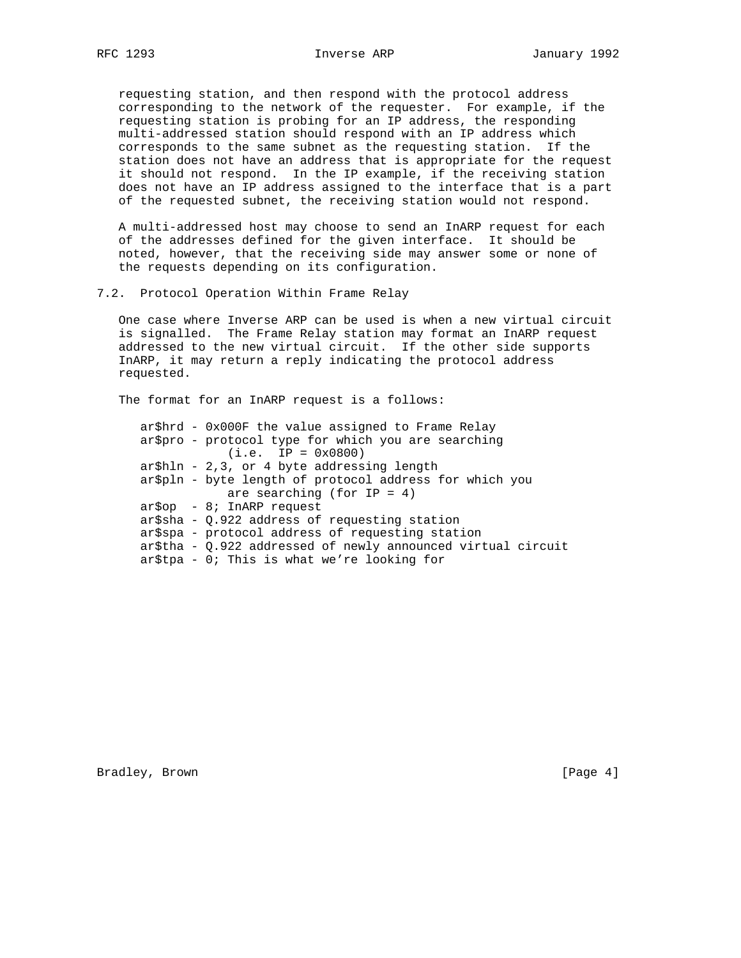requesting station, and then respond with the protocol address corresponding to the network of the requester. For example, if the requesting station is probing for an IP address, the responding multi-addressed station should respond with an IP address which corresponds to the same subnet as the requesting station. If the station does not have an address that is appropriate for the request it should not respond. In the IP example, if the receiving station does not have an IP address assigned to the interface that is a part of the requested subnet, the receiving station would not respond.

 A multi-addressed host may choose to send an InARP request for each of the addresses defined for the given interface. It should be noted, however, that the receiving side may answer some or none of the requests depending on its configuration.

## 7.2. Protocol Operation Within Frame Relay

 One case where Inverse ARP can be used is when a new virtual circuit is signalled. The Frame Relay station may format an InARP request addressed to the new virtual circuit. If the other side supports InARP, it may return a reply indicating the protocol address requested.

The format for an InARP request is a follows:

 ar\$hrd - 0x000F the value assigned to Frame Relay ar\$pro - protocol type for which you are searching (i.e. IP = 0x0800) ar\$hln - 2,3, or 4 byte addressing length ar\$pln - byte length of protocol address for which you are searching (for IP = 4) ar\$op - 8; InARP request ar\$sha - Q.922 address of requesting station ar\$spa - protocol address of requesting station ar\$tha - Q.922 addressed of newly announced virtual circuit ar\$tpa - 0; This is what we're looking for

Bradley, Brown [Page 4]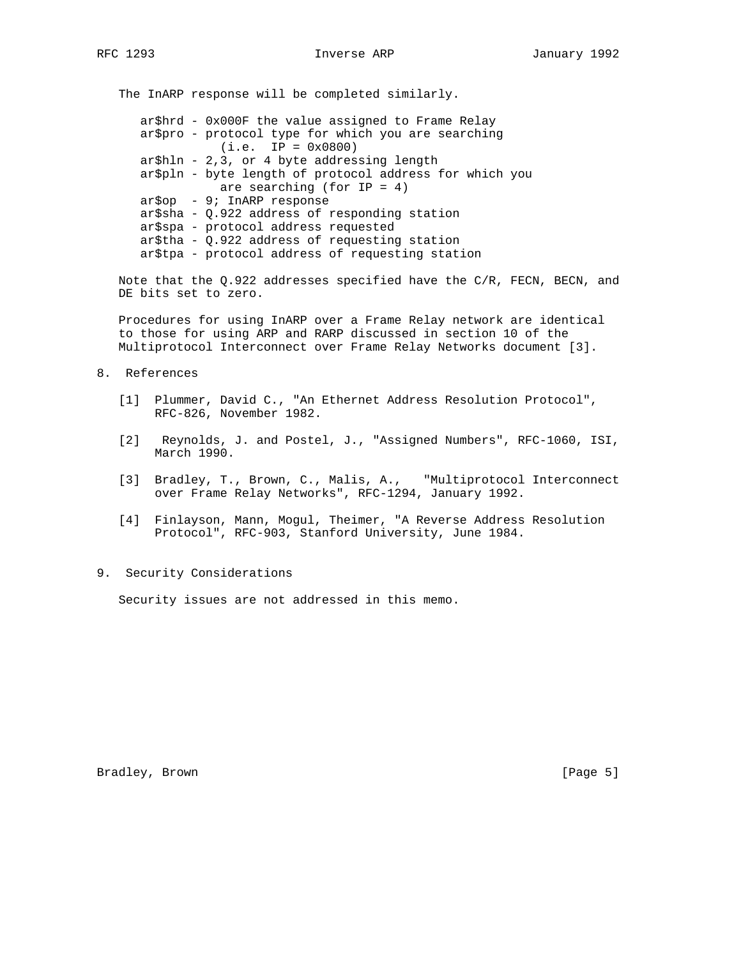The InARP response will be completed similarly.

 ar\$hrd - 0x000F the value assigned to Frame Relay ar\$pro - protocol type for which you are searching (i.e. IP = 0x0800) ar\$hln - 2,3, or 4 byte addressing length ar\$pln - byte length of protocol address for which you are searching (for IP = 4) ar\$op - 9; InARP response ar\$sha - Q.922 address of responding station ar\$spa - protocol address requested ar\$tha - Q.922 address of requesting station ar\$tpa - protocol address of requesting station

 Note that the Q.922 addresses specified have the C/R, FECN, BECN, and DE bits set to zero.

 Procedures for using InARP over a Frame Relay network are identical to those for using ARP and RARP discussed in section 10 of the Multiprotocol Interconnect over Frame Relay Networks document [3].

- 8. References
	- [1] Plummer, David C., "An Ethernet Address Resolution Protocol", RFC-826, November 1982.
	- [2] Reynolds, J. and Postel, J., "Assigned Numbers", RFC-1060, ISI, March 1990.
	- [3] Bradley, T., Brown, C., Malis, A., "Multiprotocol Interconnect over Frame Relay Networks", RFC-1294, January 1992.
	- [4] Finlayson, Mann, Mogul, Theimer, "A Reverse Address Resolution Protocol", RFC-903, Stanford University, June 1984.
- 9. Security Considerations

Security issues are not addressed in this memo.

Bradley, Brown [Page 5]